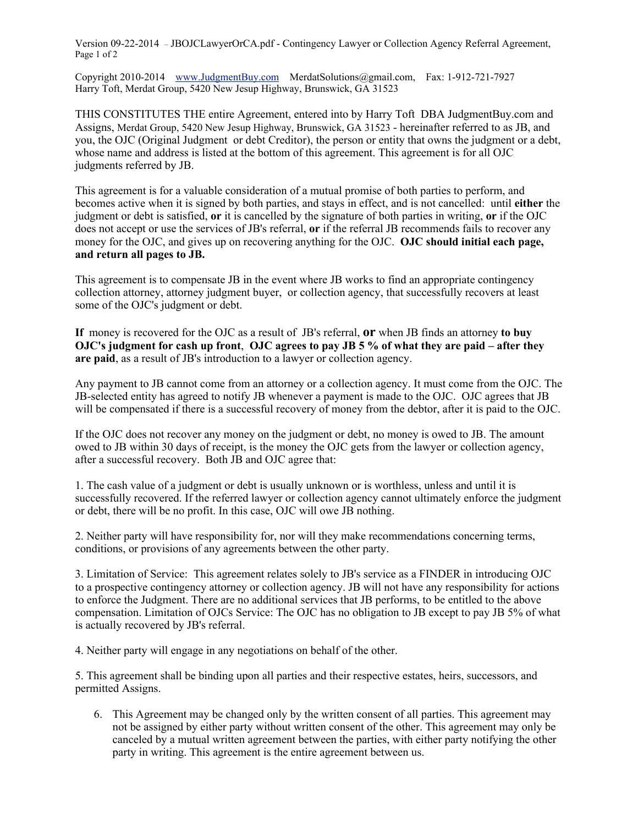Version 09-22-2014 – JBOJCLawyerOrCA.pdf - Contingency Lawyer or Collection Agency Referral Agreement, Page 1 of 2

Copyright 2010-2014 www.JudgmentBuy.com MerdatSolutions@gmail.com, Fax: 1-912-721-7927 Harry Toft, Merdat Group, 5420 New Jesup Highway, Brunswick, GA 31523

THIS CONSTITUTES THE entire Agreement, entered into by Harry Toft DBA JudgmentBuy.com and Assigns, Merdat Group, 5420 New Jesup Highway, Brunswick, GA 31523 - hereinafter referred to as JB, and you, the OJC (Original Judgment or debt Creditor), the person or entity that owns the judgment or a debt, whose name and address is listed at the bottom of this agreement. This agreement is for all OJC judgments referred by JB.

This agreement is for a valuable consideration of a mutual promise of both parties to perform, and becomes active when it is signed by both parties, and stays in effect, and is not cancelled: until **either** the judgment or debt is satisfied, **or** it is cancelled by the signature of both parties in writing, **or** if the OJC does not accept or use the services of JB's referral, **or** if the referral JB recommends fails to recover any money for the OJC, and gives up on recovering anything for the OJC. **OJC should initial each page, and return all pages to JB.**

This agreement is to compensate JB in the event where JB works to find an appropriate contingency collection attorney, attorney judgment buyer, or collection agency, that successfully recovers at least some of the OJC's judgment or debt.

**If** money is recovered for the OJC as a result of JB's referral, **or** when JB finds an attorney **to buy OJC's judgment for cash up front**, **OJC agrees to pay JB 5 % of what they are paid – after they are paid**, as a result of JB's introduction to a lawyer or collection agency.

Any payment to JB cannot come from an attorney or a collection agency. It must come from the OJC. The JB-selected entity has agreed to notify JB whenever a payment is made to the OJC. OJC agrees that JB will be compensated if there is a successful recovery of money from the debtor, after it is paid to the OJC.

If the OJC does not recover any money on the judgment or debt, no money is owed to JB. The amount owed to JB within 30 days of receipt, is the money the OJC gets from the lawyer or collection agency, after a successful recovery. Both JB and OJC agree that:

1. The cash value of a judgment or debt is usually unknown or is worthless, unless and until it is successfully recovered. If the referred lawyer or collection agency cannot ultimately enforce the judgment or debt, there will be no profit. In this case, OJC will owe JB nothing.

2. Neither party will have responsibility for, nor will they make recommendations concerning terms, conditions, or provisions of any agreements between the other party.

3. Limitation of Service: This agreement relates solely to JB's service as a FINDER in introducing OJC to a prospective contingency attorney or collection agency. JB will not have any responsibility for actions to enforce the Judgment. There are no additional services that JB performs, to be entitled to the above compensation. Limitation of OJCs Service: The OJC has no obligation to JB except to pay JB 5% of what is actually recovered by JB's referral.

4. Neither party will engage in any negotiations on behalf of the other.

5. This agreement shall be binding upon all parties and their respective estates, heirs, successors, and permitted Assigns.

6. This Agreement may be changed only by the written consent of all parties. This agreement may not be assigned by either party without written consent of the other. This agreement may only be canceled by a mutual written agreement between the parties, with either party notifying the other party in writing. This agreement is the entire agreement between us.